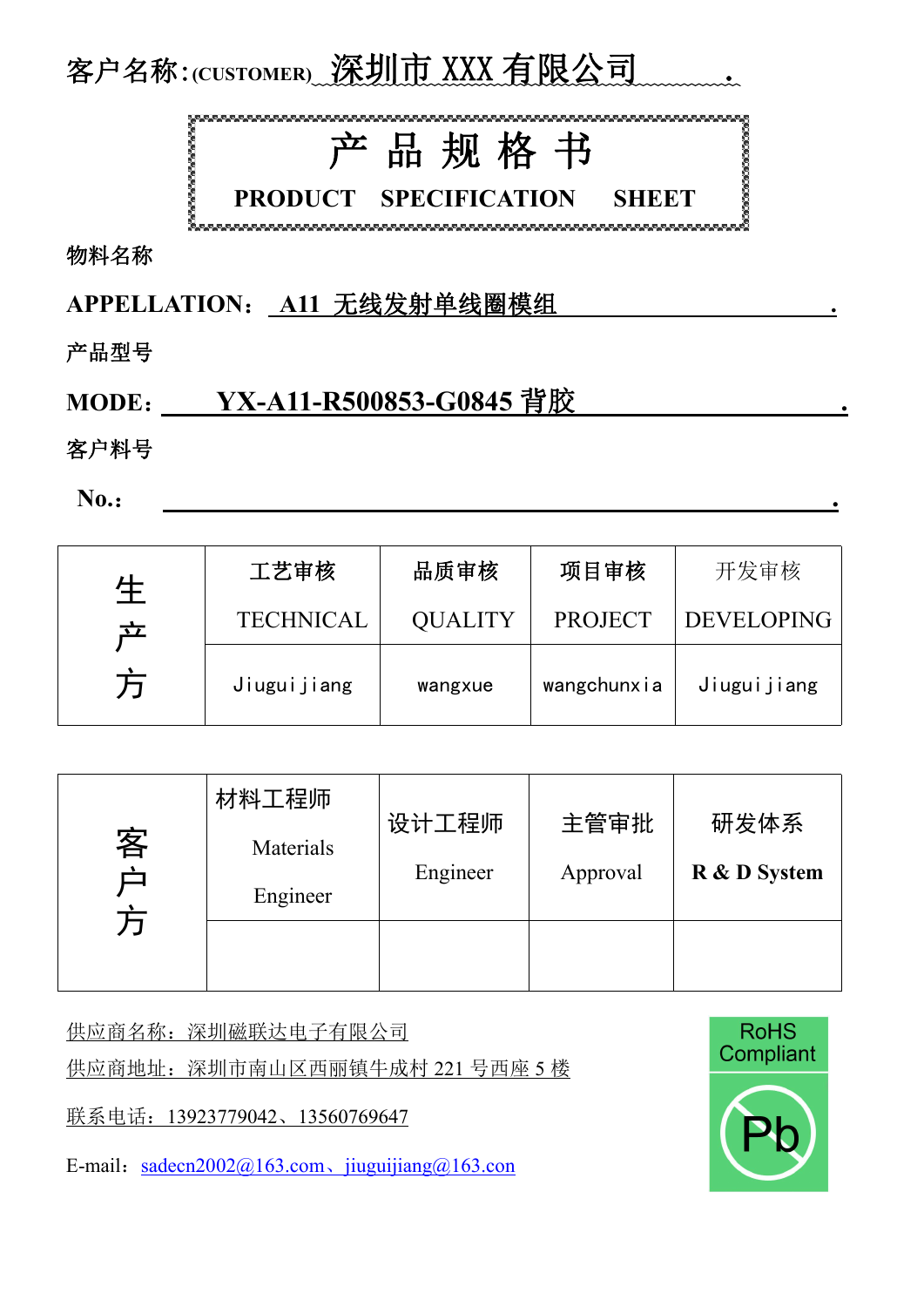

物料名称

**APPELLATION**: **A11** 无线发射单线圈模组 **.**

产品型号

## **MODE**: **YX-A11-R500853-G0845** 背胶 **.**

客户料号

**No.**: **.**

| 生      | 工艺审核             | 品质审核           | 项目审核           | 开发审核              |
|--------|------------------|----------------|----------------|-------------------|
| 立<br>万 | <b>TECHNICAL</b> | <b>QUALITY</b> | <b>PROJECT</b> | <b>DEVELOPING</b> |
|        | Jiuguijiang      | wangxue        | wangchunxia    | Jiuguijiang       |

| 客<br>甴<br>方 | 材料工程师<br>Materials<br>Engineer | 设计工程师<br>Engineer | 主管审批<br>Approval | 研发体系<br>R & D System |
|-------------|--------------------------------|-------------------|------------------|----------------------|
|             |                                |                   |                  |                      |

供应商名称: 深圳磁联达电子有限公司 **Window Roman** RoHS

供应商地址: 深圳市南山区西丽镇牛成村 221 号西座 5 楼 Thing Dompliant

联系电话: 13923779042、13560769647

E-mail: sadecn2002@163.com、[jiuguijiang@163.con](mailto:jiuguijiang@163.con/)

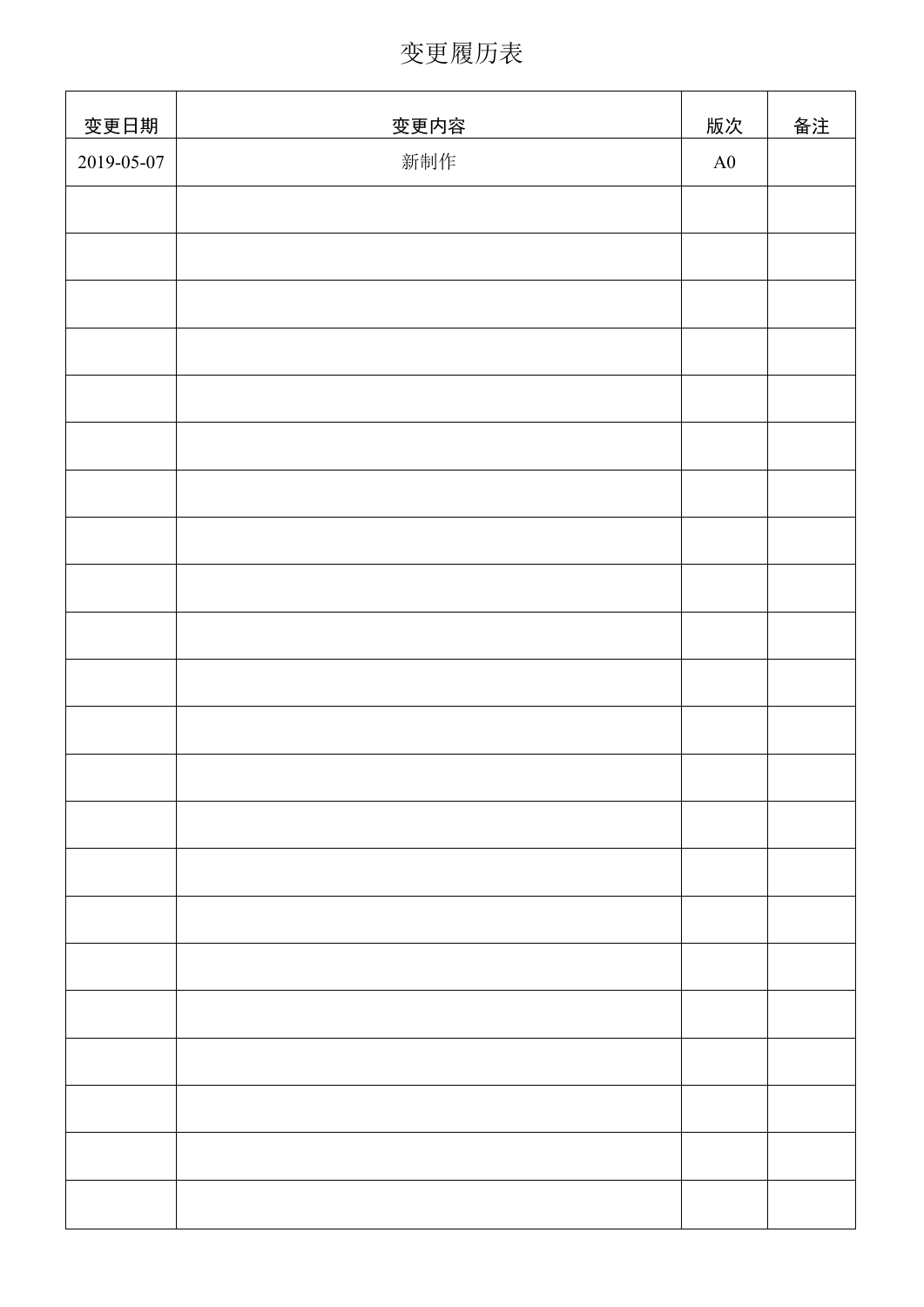变更履历表

| 变更日期       | 变更内容 | 版次 | 备注 |
|------------|------|----|----|
| 2019-05-07 | 新制作  | A0 |    |
|            |      |    |    |
|            |      |    |    |
|            |      |    |    |
|            |      |    |    |
|            |      |    |    |
|            |      |    |    |
|            |      |    |    |
|            |      |    |    |
|            |      |    |    |
|            |      |    |    |
|            |      |    |    |
|            |      |    |    |
|            |      |    |    |
|            |      |    |    |
|            |      |    |    |
|            |      |    |    |
|            |      |    |    |
|            |      |    |    |
|            |      |    |    |
|            |      |    |    |
|            |      |    |    |
|            |      |    |    |
|            |      |    |    |
|            |      |    |    |
|            |      |    |    |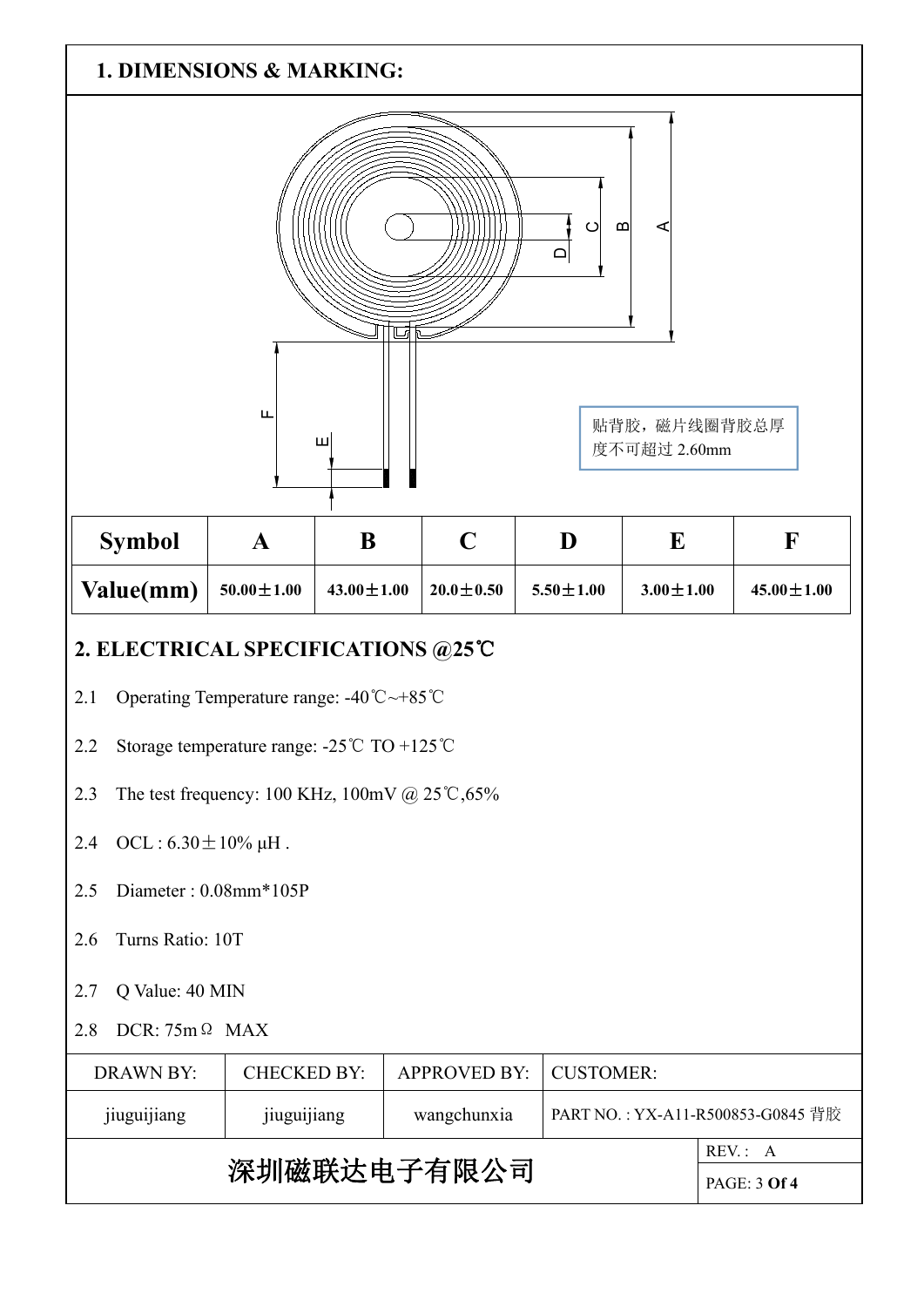